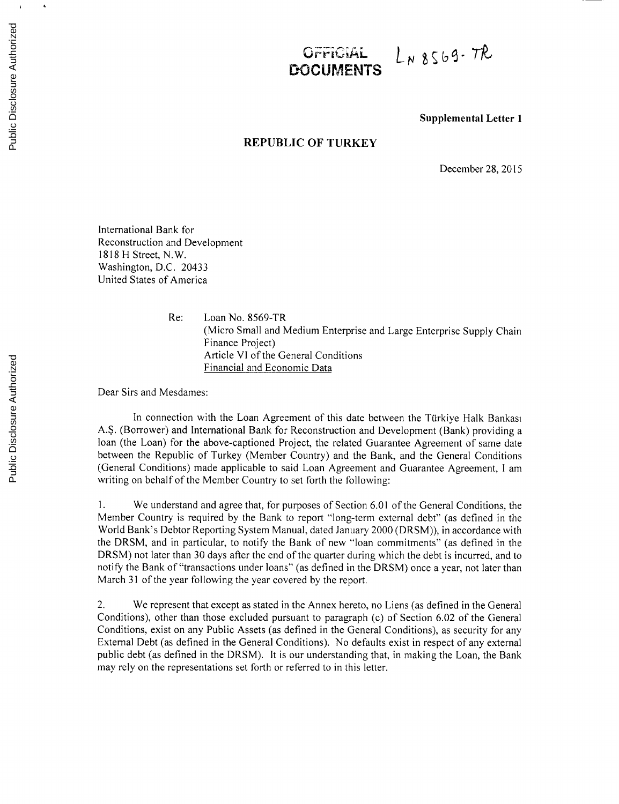## $L_{N8569}$ -TR *C., r\*-P* **G i***APL*<sup>~</sup> **DOCUMENTS**

**Supplemental Letter 1**

## **REPUBLIC OF TURKEY**

December **28, 2015**

International Bank for Reconstruction and Development **1818** H Street, N.W. Washington, **D.C.** 20433 United States of America

> Re: Loan No. 8569-TR (Micro Small and Medium Enterprise and Large Enterprise Supply Chain Finance Project) Article VI of the General Conditions Financial and Economic Data

Dear Sirs and Mesdames:

In connection with the Loan Agreement of this date between the Türkiye Halk Bankasi **A.\$.** (Borrower) and International Bank for Reconstruction and Development (Bank) providing a loan (the Loan) for the above-captioned Project, the related Guarantee Agreement of same date between the Republic of Turkey (Member Country) and the Bank, and the General Conditions (General Conditions) made applicable to said Loan Agreement and Guarantee Agreement, **I** am writing on behalf of the Member Country to set forth the following:

**1.** We understand and agree that, for purposes of Section **6.01** of the General Conditions, the Member Country is required **by** the Bank to report "long-term external debt" (as defined in the World Bank's Debtor Reporting System Manual, dated January 2000 (DRSM)), in accordance with the DRSM, and in particular, to notify the Bank of new "loan commitments" (as defined in the DRSM) not later than **30** days after the end of the quarter during which the debt is incurred, and to notify the Bank of "transactions under loans" (as defined in the DRSM) once a year, not later than March **31** of the year following the year covered **by** the report.

2. We represent that except as stated in the Annex hereto, no Liens (as defined in the General Conditions), other than those excluded pursuant to paragraph (c) of Section **6.02** of the General Conditions, exist on any Public Assets (as defined in the General Conditions), as security for any External Debt (as defined in the General Conditions). No defaults exist in respect of any external public debt (as defined in the DRSM). It is our understanding that, in making the Loan, the Bank may rely on the representations set forth or referred to in this letter.

 $\bar{1}$ 

 $\tilde{\phantom{a}}$